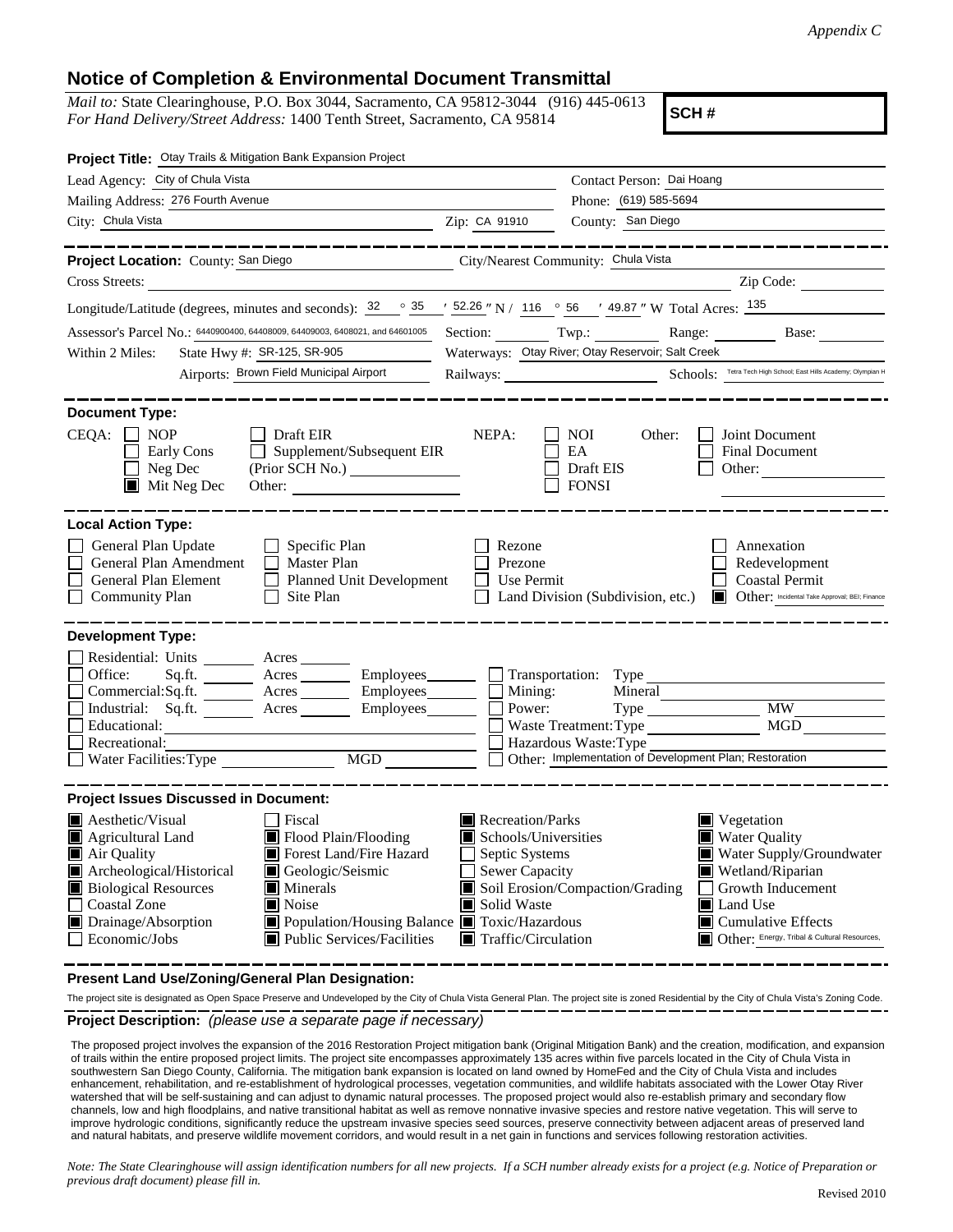## **Notice of Completion & Environmental Document Transmittal**

*Mail to:* State Clearinghouse, P.O. Box 3044, Sacramento, CA 95812-3044 (916) 445-0613 *For Hand Delivery/Street Address:* 1400 Tenth Street, Sacramento, CA 95814

**SCH #**

| Project Title: Otay Trails & Mitigation Bank Expansion Project                                                                                                                                                                                                                                                                                                                                                                                                                       |                                                                                                                                          |                                                                         |                                                                                                                                                                                                                  |
|--------------------------------------------------------------------------------------------------------------------------------------------------------------------------------------------------------------------------------------------------------------------------------------------------------------------------------------------------------------------------------------------------------------------------------------------------------------------------------------|------------------------------------------------------------------------------------------------------------------------------------------|-------------------------------------------------------------------------|------------------------------------------------------------------------------------------------------------------------------------------------------------------------------------------------------------------|
| Lead Agency: City of Chula Vista                                                                                                                                                                                                                                                                                                                                                                                                                                                     |                                                                                                                                          | Contact Person: Dai Hoang<br>Phone: (619) 585-5694<br>County: San Diego |                                                                                                                                                                                                                  |
| Mailing Address: 276 Fourth Avenue                                                                                                                                                                                                                                                                                                                                                                                                                                                   |                                                                                                                                          |                                                                         |                                                                                                                                                                                                                  |
| Zip: CA 91910<br>City: Chula Vista                                                                                                                                                                                                                                                                                                                                                                                                                                                   |                                                                                                                                          |                                                                         |                                                                                                                                                                                                                  |
| _______________<br>Project Location: County: San Diego<br>City/Nearest Community: Chula Vista                                                                                                                                                                                                                                                                                                                                                                                        |                                                                                                                                          |                                                                         | ________________                                                                                                                                                                                                 |
| Cross Streets:                                                                                                                                                                                                                                                                                                                                                                                                                                                                       |                                                                                                                                          |                                                                         | Zip Code:                                                                                                                                                                                                        |
| Longitude/Latitude (degrees, minutes and seconds): $\frac{32}{2}$ $\frac{35}{2}$ $\frac{152.26}{2}$ N / 116 $\degree$ 56 $\degree$ 49.87 " W Total Acres: $\frac{135}{2}$                                                                                                                                                                                                                                                                                                            |                                                                                                                                          |                                                                         |                                                                                                                                                                                                                  |
| Assessor's Parcel No.: 6440900400, 64408009, 64409003, 6408021, and 64601005                                                                                                                                                                                                                                                                                                                                                                                                         | Section: Twp.:                                                                                                                           |                                                                         | Range: Base:                                                                                                                                                                                                     |
| State Hwy #: SR-125, SR-905<br>Within 2 Miles:<br>Airports: Brown Field Municipal Airport                                                                                                                                                                                                                                                                                                                                                                                            |                                                                                                                                          | Waterways: Otay River; Otay Reservoir; Salt Creek                       | Railways: Schools: Tetra Tech High School: East Hills Academy; Olympian H                                                                                                                                        |
| <b>Document Type:</b>                                                                                                                                                                                                                                                                                                                                                                                                                                                                |                                                                                                                                          |                                                                         |                                                                                                                                                                                                                  |
| $CEQA: \Box NP$<br>$\Box$ Draft EIR<br>Early Cons<br>$\Box$ Supplement/Subsequent EIR<br>$\Box$<br>$\Box$ Neg Dec<br>$\blacksquare$ Mit Neg Dec                                                                                                                                                                                                                                                                                                                                      | NEPA:                                                                                                                                    | NOI<br>Other:<br>EA<br>Draft EIS                                        | Joint Document<br>Final Document<br>$\mathcal{L}^{\mathcal{A}}$<br>Other:                                                                                                                                        |
| <b>Local Action Type:</b>                                                                                                                                                                                                                                                                                                                                                                                                                                                            |                                                                                                                                          |                                                                         |                                                                                                                                                                                                                  |
| General Plan Update<br>$\Box$ Specific Plan<br>$\Box$ Master Plan<br>$\Box$<br>General Plan Amendment<br>$\Box$<br>General Plan Element<br>$\Box$ Planned Unit Development<br>$\Box$ Community Plan<br>$\Box$ Site Plan                                                                                                                                                                                                                                                              | Rezone<br>$\Box$ Prezone<br>$\Box$ Use Permit                                                                                            | $\Box$ Land Division (Subdivision, etc.)                                | Annexation<br>Redevelopment<br><b>Coastal Permit</b><br>Other: Incidental Take Approval; BEI; Finance                                                                                                            |
| <b>Development Type:</b>                                                                                                                                                                                                                                                                                                                                                                                                                                                             |                                                                                                                                          |                                                                         |                                                                                                                                                                                                                  |
| Residential: Units ________ Acres _______<br>□ Office:<br>Sq.ft. _________ Acres __________ Employees_________ ___ Transportation: Type<br>Commercial:Sq.ft. _______ Acres ________ Employees ________ __ Mining:<br><u>Employees</u><br>Educational:<br>Educational:<br>Educational:<br>Educational:<br>Exercedional:<br>Exercedional:<br>Exercedional:<br>Exercedional:<br>Exercedional:<br>Exercedional:<br>Exercedional:<br>Exercedional:<br>Exercedional:<br>Exercedional:<br>E |                                                                                                                                          | Other: Implementation of Development Plan; Restoration                  | Mineral<br>MW<br>MGD                                                                                                                                                                                             |
| <b>Project Issues Discussed in Document:</b>                                                                                                                                                                                                                                                                                                                                                                                                                                         |                                                                                                                                          |                                                                         |                                                                                                                                                                                                                  |
| $\blacksquare$ Aesthetic/Visual<br>Fiscal<br>Flood Plain/Flooding<br>$\blacksquare$ Agricultural Land<br>Forest Land/Fire Hazard<br>Air Quality<br>Archeological/Historical<br>Geologic/Seismic<br><b>Biological Resources</b><br>$\blacksquare$ Minerals<br>Coastal Zone<br><b>Noise</b><br>Drainage/Absorption<br>■ Population/Housing Balance ■ Toxic/Hazardous<br>$\Box$ Economic/Jobs<br>■ Public Services/Facilities                                                           | Recreation/Parks<br>Schools/Universities<br>$\Box$ Septic Systems<br>Sewer Capacity<br>Solid Waste<br>$\blacksquare$ Traffic/Circulation | Soil Erosion/Compaction/Grading                                         | $\blacksquare$ Vegetation<br><b>Water Quality</b><br>Water Supply/Groundwater<br>Wetland/Riparian<br>  Growth Inducement<br>Land Use<br><b>Cumulative Effects</b><br>Other: Energy, Tribal & Cultural Resources, |

**Present Land Use/Zoning/General Plan Designation:**

**Project Description:** *(please use a separate page if necessary)* The project site is designated as Open Space Preserve and Undeveloped by the City of Chula Vista General Plan. The project site is zoned Residential by the City of Chula Vista's Zoning Code.

 The proposed project involves the expansion of the 2016 Restoration Project mitigation bank (Original Mitigation Bank) and the creation, modification, and expansion of trails within the entire proposed project limits. The project site encompasses approximately 135 acres within five parcels located in the City of Chula Vista in southwestern San Diego County, California. The mitigation bank expansion is located on land owned by HomeFed and the City of Chula Vista and includes enhancement, rehabilitation, and re-establishment of hydrological processes, vegetation communities, and wildlife habitats associated with the Lower Otay River watershed that will be self-sustaining and can adjust to dynamic natural processes. The proposed project would also re-establish primary and secondary flow channels, low and high floodplains, and native transitional habitat as well as remove nonnative invasive species and restore native vegetation. This will serve to improve hydrologic conditions, significantly reduce the upstream invasive species seed sources, preserve connectivity between adjacent areas of preserved land and natural habitats, and preserve wildlife movement corridors, and would result in a net gain in functions and services following restoration activities.

*Note: The State Clearinghouse will assign identification numbers for all new projects. If a SCH number already exists for a project (e.g. Notice of Preparation or previous draft document) please fill in.*